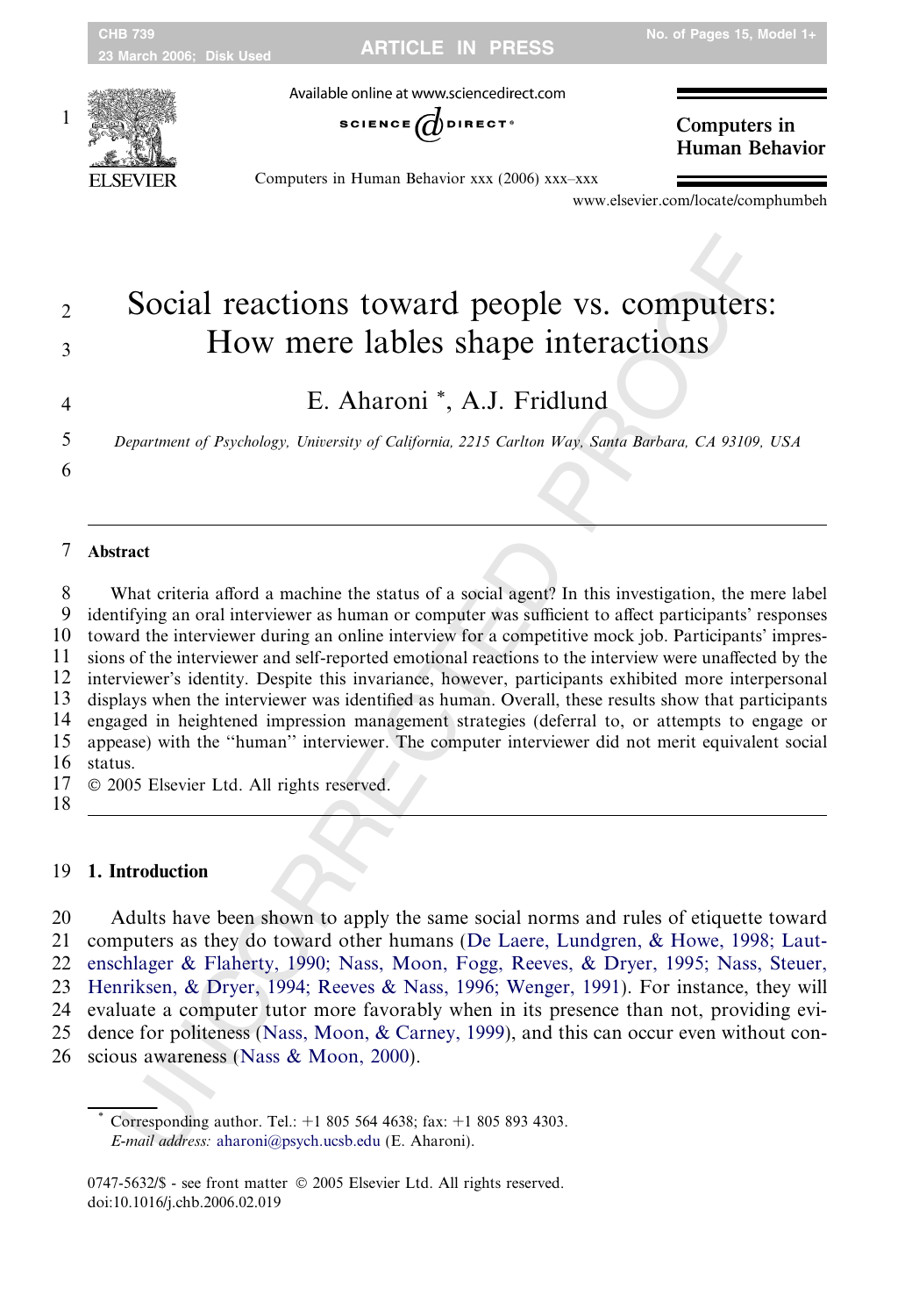**FI SEVIER** 

1

Available online at www.sciencedirect.com SCIENCE  $\bigcap$  DIRECT<sup>\*</sup>

Computers in Human Behavior xxx (2006) xxx–xxx

Computers in Human Behavior

www.elsevier.com/locate/comphumbeh

# <sup>2</sup> Social reactions toward people vs. computers: <sup>3</sup> How mere lables shape interactions

4 E. Aharoni \*, A.J. Fridlund

5 Department of Psychology, University of California, 2215 Carlton Way, Santa Barbara, CA 93109, USA

# 6

18

# 7 Abstract

**Social reactions toward people vs. computers**<br> **How mere lables shape interactions**<br> **E.** Aharoni \*, A.J. Fridlund<br> *Peparment of Psychology. Uniceraity of California, 2215 Carlton Way, Santa Barbara, CA 93109.<br>
<i>Peparme*  What criteria afford a machine the status of a social agent? In this investigation, the mere label identifying an oral interviewer as human or computer was sufficient to affect participants' responses toward the interviewer during an online interview for a competitive mock job. Participants' impres- sions of the interviewer and self-reported emotional reactions to the interview were unaffected by the interviewer's identity. Despite this invariance, however, participants exhibited more interpersonal displays when the interviewer was identified as human. Overall, these results show that participants engaged in heightened impression management strategies (deferral to, or attempts to engage or appease) with the ''human'' interviewer. The computer interviewer did not merit equivalent social 16 status.  $17$ 2005 Elsevier Ltd. All rights reserved.

# 19 1. Introduction

20 Adults have been shown to apply the same social norms and rules of etiquette toward 21 computers as they do toward other humans [\(De Laere, Lundgren, & Howe, 1998; Laut-](#page-14-0)22 [enschlager & Flaherty, 1990; Nass, Moon, Fogg, Reeves, & Dryer, 1995; Nass, Steuer,](#page-14-0) 23 [Henriksen, & Dryer, 1994; Reeves & Nass, 1996; Wenger, 1991](#page-14-0)). For instance, they will 24 evaluate a computer tutor more favorably when in its presence than not, providing evi-25 dence for politeness (Nass, Moon, & Carney, 1999), and this can occur even without con-26 scious awareness (Nass & Moon, 2000).

Corresponding author. Tel.:  $+18055644638$ ; fax:  $+18058934303$ . E-mail address: aharoni@psych.ucsb.edu (E. Aharoni).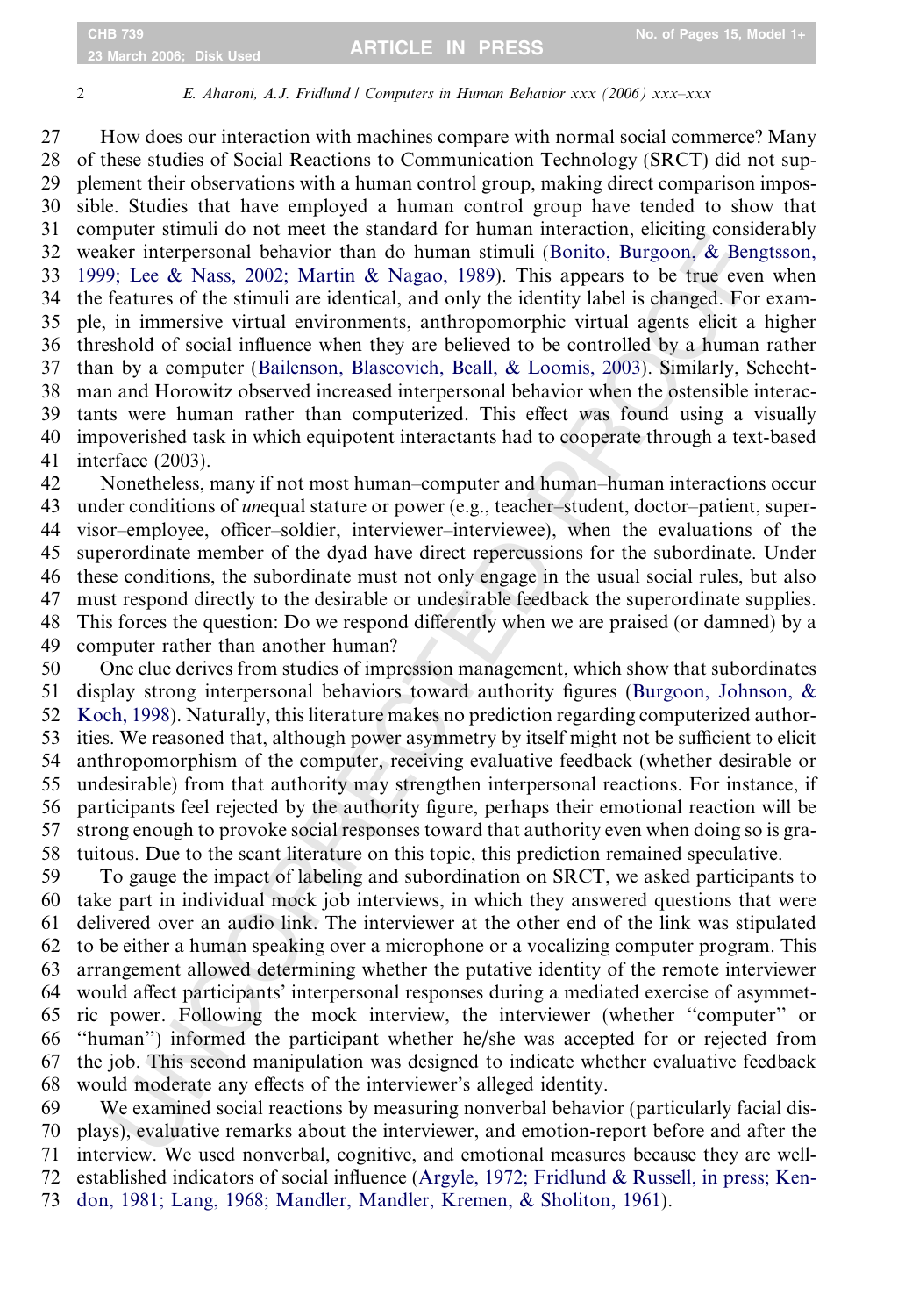For increases a behavior than do human stimuli (Bonico, Burgoon, & Ben<br>
Ever interpresonal behavior than do human stimuli (Bonico, Burgoon, & Ben<br>
Net interpresonal behavior than do human stimuli (Bonico, Burgoon, & Ben<br> 27 How does our interaction with machines compare with normal social commerce? Many 28 of these studies of Social Reactions to Communication Technology (SRCT) did not sup-29 plement their observations with a human control group, making direct comparison impos-30 sible. Studies that have employed a human control group have tended to show that 31 computer stimuli do not meet the standard for human interaction, eliciting considerably 32 weaker interpersonal behavior than do human stimuli [\(Bonito, Burgoon, & Bengtsson,](#page-13-0) 33 [1999; Lee & Nass, 2002; Martin & Nagao, 1989](#page-13-0)). This appears to be true even when 34 the features of the stimuli are identical, and only the identity label is changed. For exam-35 ple, in immersive virtual environments, anthropomorphic virtual agents elicit a higher 36 threshold of social influence when they are believed to be controlled by a human rather 37 than by a computer [\(Bailenson, Blascovich, Beall, & Loomis, 2003\)](#page-13-0). Similarly, Schecht-38 man and Horowitz observed increased interpersonal behavior when the ostensible interac-<br>39 tants were human rather than computerized. This effect was found using a visually tants were human rather than computerized. This effect was found using a visually 40 impoverished task in which equipotent interactants had to cooperate through a text-based 41 interface (2003).

42 Nonetheless, many if not most human–computer and human–human interactions occur 43 under conditions of unequal stature or power (e.g., teacher–student, doctor–patient, super-44 visor–employee, officer–soldier, interviewer–interviewee), when the evaluations of the 45 superordinate member of the dyad have direct repercussions for the subordinate. Under 46 these conditions, the subordinate must not only engage in the usual social rules, but also 47 must respond directly to the desirable or undesirable feedback the superordinate supplies. 48 This forces the question: Do we respond differently when we are praised (or damned) by a 49 computer rather than another human?

50 One clue derives from studies of impression management, which show that subordinates 51 display strong interpersonal behaviors toward authority figures [\(Burgoon, Johnson, &](#page-13-0) 52 [Koch, 1998](#page-13-0)). Naturally, this literature makes no prediction regarding computerized author-53 ities. We reasoned that, although power asymmetry by itself might not be sufficient to elicit 54 anthropomorphism of the computer, receiving evaluative feedback (whether desirable or 55 undesirable) from that authority may strengthen interpersonal reactions. For instance, if 56 participants feel rejected by the authority figure, perhaps their emotional reaction will be 57 strong enough to provoke social responses toward that authority even when doing so is gra-58 tuitous. Due to the scant literature on this topic, this prediction remained speculative.

59 To gauge the impact of labeling and subordination on SRCT, we asked participants to 60 take part in individual mock job interviews, in which they answered questions that were 61 delivered over an audio link. The interviewer at the other end of the link was stipulated 62 to be either a human speaking over a microphone or a vocalizing computer program. This 63 arrangement allowed determining whether the putative identity of the remote interviewer 64 would affect participants' interpersonal responses during a mediated exercise of asymmet-65 ric power. Following the mock interview, the interviewer (whether ''computer'' or 66 ''human'') informed the participant whether he/she was accepted for or rejected from 67 the job. This second manipulation was designed to indicate whether evaluative feedback 68 would moderate any effects of the interviewer's alleged identity.

69 We examined social reactions by measuring nonverbal behavior (particularly facial dis-70 plays), evaluative remarks about the interviewer, and emotion-report before and after the 71 interview. We used nonverbal, cognitive, and emotional measures because they are well-72 established indicators of social influence ([Argyle, 1972; Fridlund & Russell, in press; Ken-](#page-13-0)73 [don, 1981; Lang, 1968; Mandler, Mandler, Kremen, & Sholiton, 1961\)](#page-13-0).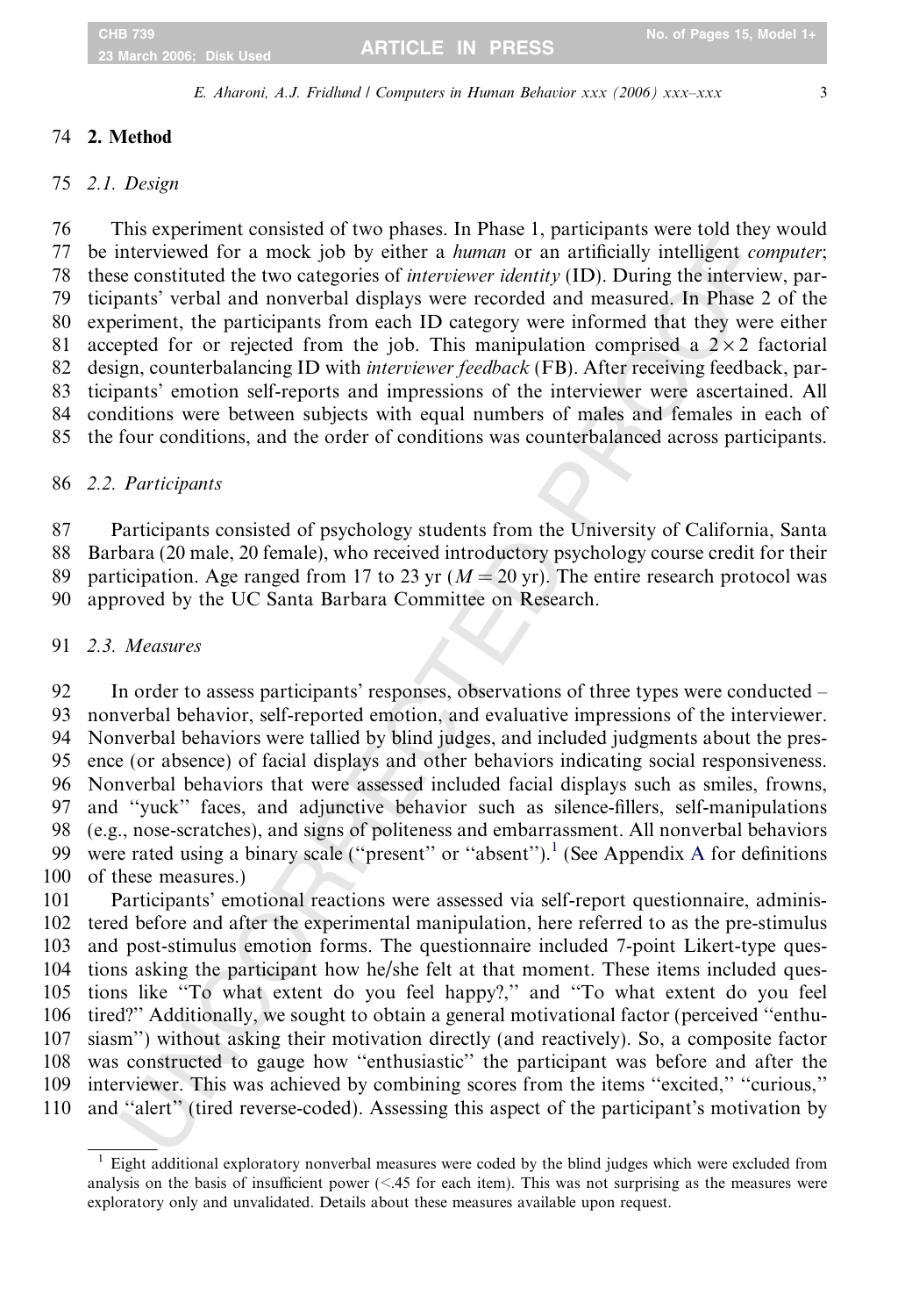# 74 2. Method

### 75 2.1. Design

76 This experiment consisted of two phases. In Phase 1, participants were told they would 77 be interviewed for a mock job by either a human or an artificially intelligent computer; 78 these constituted the two categories of interviewer identity (ID). During the interview, par-79 ticipants' verbal and nonverbal displays were recorded and measured. In Phase 2 of the 80 experiment, the participants from each ID category were informed that they were either 81 accepted for or rejected from the job. This manipulation comprised a  $2 \times 2$  factorial 82 design, counterbalancing ID with *interviewer feedback* (FB). After receiving feedback, par-83 ticipants' emotion self-reports and impressions of the interviewer were ascertained. All 84 conditions were between subjects with equal numbers of males and females in each of 85 the four conditions, and the order of conditions was counterbalanced across participants.

# 86 2.2. Participants

87 Participants consisted of psychology students from the University of California, Santa

88 Barbara (20 male, 20 female), who received introductory psychology course credit for their

89 participation. Age ranged from 17 to 23 yr ( $M = 20$  yr). The entire research protocol was

90 approved by the UC Santa Barbara Committee on Research.

# 91 2.3. Measures

92 In order to assess participants' responses, observations of three types were conducted – 93 nonverbal behavior, self-reported emotion, and evaluative impressions of the interviewer. 94 Nonverbal behaviors were tallied by blind judges, and included judgments about the pres-95 ence (or absence) of facial displays and other behaviors indicating social responsiveness. 96 Nonverbal behaviors that were assessed included facial displays such as smiles, frowns, 97 and ''yuck'' faces, and adjunctive behavior such as silence-fillers, self-manipulations 98 (e.g., nose-scratches), and signs of politeness and embarrassment. All nonverbal behaviors 99 were rated using a binary scale ("present" or "absent").<sup>1</sup> (See [A](#page-12-0)ppendix A for definitions 100 of these measures.)

moviewed for a mock job by either a human or an artificially intelligent corontroleved for a mock job by either a human or an artificially intelligent corontroleved for a mock job by either a human or an artificially inte 101 Participants' emotional reactions were assessed via self-report questionnaire, adminis-102 tered before and after the experimental manipulation, here referred to as the pre-stimulus 103 and post-stimulus emotion forms. The questionnaire included 7-point Likert-type ques-104 tions asking the participant how he/she felt at that moment. These items included ques-105 tions like ''To what extent do you feel happy?,'' and ''To what extent do you feel 106 tired?'' Additionally, we sought to obtain a general motivational factor (perceived ''enthu-107 siasm'') without asking their motivation directly (and reactively). So, a composite factor 108 was constructed to gauge how ''enthusiastic'' the participant was before and after the 109 interviewer. This was achieved by combining scores from the items ''excited,'' ''curious,'' 110 and ''alert'' (tired reverse-coded). Assessing this aspect of the participant's motivation by

<sup>1</sup> Eight additional exploratory nonverbal measures were coded by the blind judges which were excluded from analysis on the basis of insufficient power  $( $45$  for each item). This was not surprising as the measures were$ exploratory only and unvalidated. Details about these measures available upon request.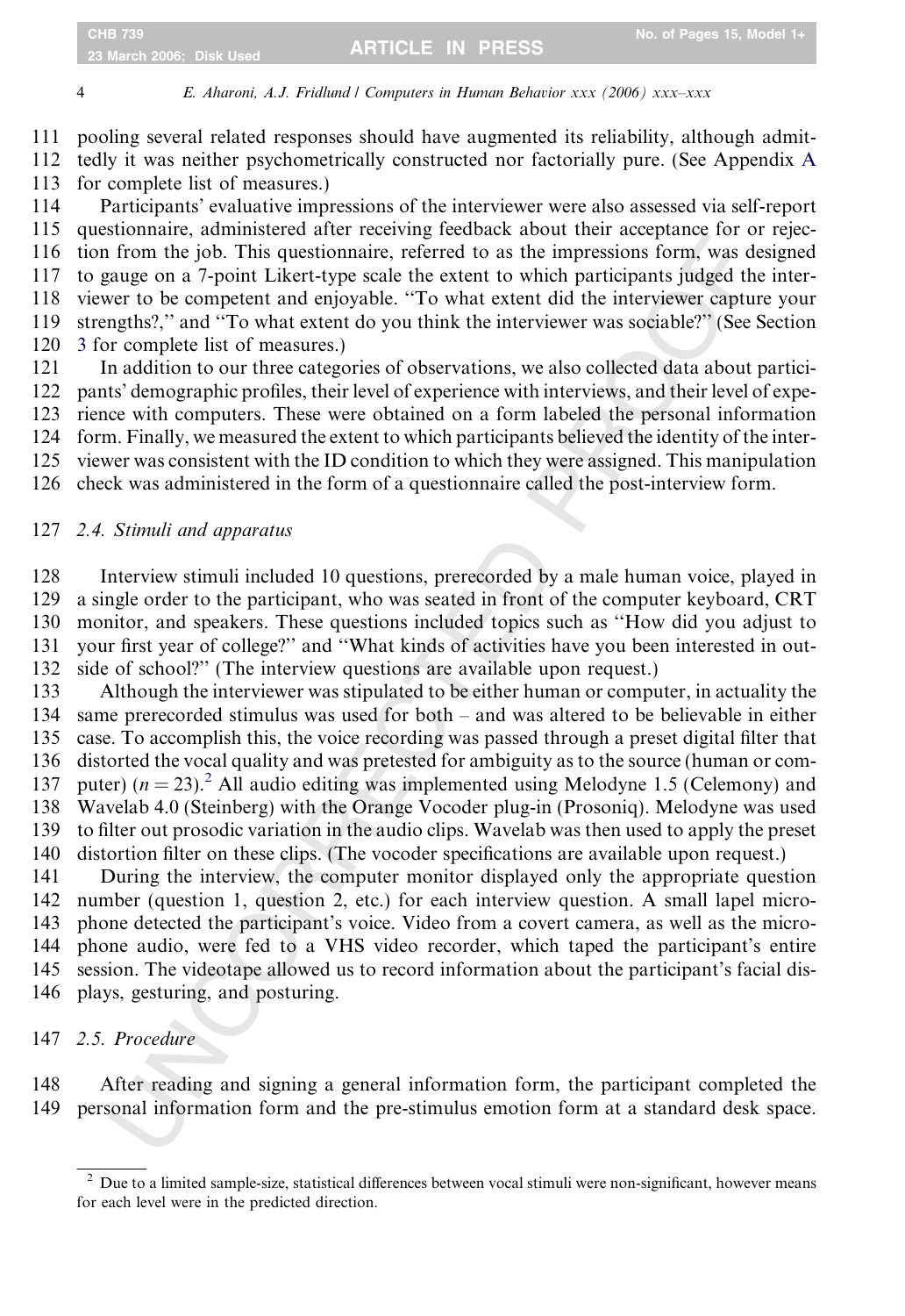111 pooling several related responses should have augmented its reliability, although admit-112 tedly it was neither psychometrically constructed nor factorially pure. (See Appendix [A](#page-12-0) 113 for complete list of measures.)

114 Participants' evaluative impressions of the interviewer were also assessed via self-report 115 questionnaire, administered after receiving feedback about their acceptance for or rejec-116 tion from the job. This questionnaire, referred to as the impressions form, was designed 117 to gauge on a 7-point Likert-type scale the extent to which participants judged the inter-118 viewer to be competent and enjoyable. ''To what extent did the interviewer capture your 119 strengths?,'' and ''To what extent do you think the interviewer was sociable?'' (See Section 120 [3](#page-4-0) for complete list of measures.)

121 In addition to our three categories of observations, we also collected data about partici-122 pants' demographic profiles, their level of experience with interviews, and their level of expe-123 rience with computers. These were obtained on a form labeled the personal information 124 form. Finally, we measured the extent to which participants believed the identity of the inter-125 viewer was consistent with the ID condition to which they were assigned. This manipulation 126 check was administered in the form of a questionnaire called the post-interview form.

# 127 2.4. Stimuli and apparatus

128 Interview stimuli included 10 questions, prerecorded by a male human voice, played in 129 a single order to the participant, who was seated in front of the computer keyboard, CRT 130 monitor, and speakers. These questions included topics such as ''How did you adjust to 131 your first year of college?'' and ''What kinds of activities have you been interested in out-132 side of school?'' (The interview questions are available upon request.)

Irom the job. This questionnaire, referred to as the impressions form, was detailed the exter to be competent and enjoyable. "To what extent to which participants jadged the exter to be competent and enjoyable. "To what e 133 Although the interviewer was stipulated to be either human or computer, in actuality the 134 same prerecorded stimulus was used for both – and was altered to be believable in either 135 case. To accomplish this, the voice recording was passed through a preset digital filter that 136 distorted the vocal quality and was pretested for ambiguity as to the source (human or com-137 puter)  $(n = 23)^2$  All audio editing was implemented using Melodyne 1.5 (Celemony) and 138 Wavelab 4.0 (Steinberg) with the Orange Vocoder plug-in (Prosoniq). Melodyne was used 139 to filter out prosodic variation in the audio clips. Wavelab was then used to apply the preset 140 distortion filter on these clips. (The vocoder specifications are available upon request.)

141 During the interview, the computer monitor displayed only the appropriate question 142 number (question 1, question 2, etc.) for each interview question. A small lapel micro-143 phone detected the participant's voice. Video from a covert camera, as well as the micro-144 phone audio, were fed to a VHS video recorder, which taped the participant's entire 145 session. The videotape allowed us to record information about the participant's facial dis-146 plays, gesturing, and posturing.

147 2.5. Procedure

148 After reading and signing a general information form, the participant completed the 149 personal information form and the pre-stimulus emotion form at a standard desk space.

<sup>&</sup>lt;sup>2</sup> Due to a limited sample-size, statistical differences between vocal stimuli were non-significant, however means for each level were in the predicted direction.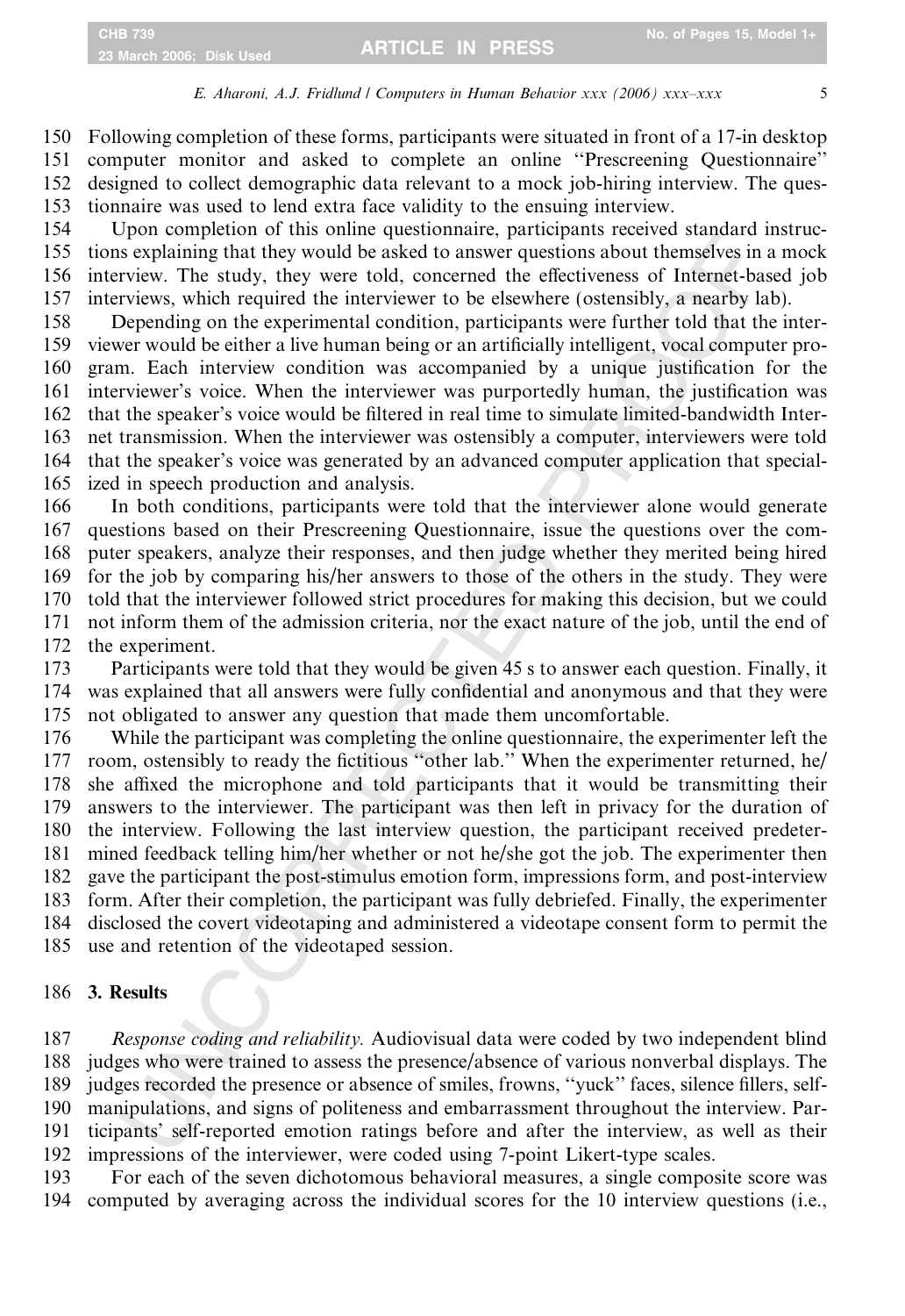<span id="page-4-0"></span>150 Following completion of these forms, participants were situated in front of a 17-in desktop 151 computer monitor and asked to complete an online ''Prescreening Questionnaire'' 152 designed to collect demographic data relevant to a mock job-hiring interview. The ques-153 tionnaire was used to lend extra face validity to the ensuing interview.

154 Upon completion of this online questionnaire, participants received standard instruc-155 tions explaining that they would be asked to answer questions about themselves in a mock 156 interview. The study, they were told, concerned the effectiveness of Internet-based job 157 interviews, which required the interviewer to be elsewhere (ostensibly, a nearby lab).

158 Depending on the experimental condition, participants were further told that the inter-159 viewer would be either a live human being or an artificially intelligent, vocal computer pro-160 gram. Each interview condition was accompanied by a unique justification for the 161 interviewer's voice. When the interviewer was purportedly human, the justification was 162 that the speaker's voice would be filtered in real time to simulate limited-bandwidth Inter-163 net transmission. When the interviewer was ostensibly a computer, interviewers were told 164 that the speaker's voice was generated by an advanced computer application that special-165 ized in speech production and analysis.

166 In both conditions, participants were told that the interviewer alone would generate 167 questions based on their Prescreening Questionnaire, issue the questions over the com-168 puter speakers, analyze their responses, and then judge whether they merited being hired 169 for the job by comparing his/her answers to those of the others in the study. They were 170 told that the interviewer followed strict procedures for making this decision, but we could 171 not inform them of the admission criteria, nor the exact nature of the job, until the end of 172 the experiment.

173 Participants were told that they would be given 45 s to answer each question. Finally, it 174 was explained that all answers were fully confidential and anonymous and that they were 175 not obligated to answer any question that made them uncomfortable.

For the study, they were told, concerned the relations that the medical schemes are scalaring that they would be tasked to answer questions about themselves in riview. The study, they were told, concerned the effectivenes 176 While the participant was completing the online questionnaire, the experimenter left the 177 room, ostensibly to ready the fictitious ''other lab.'' When the experimenter returned, he/ 178 she affixed the microphone and told participants that it would be transmitting their 179 answers to the interviewer. The participant was then left in privacy for the duration of 180 the interview. Following the last interview question, the participant received predeter-181 mined feedback telling him/her whether or not he/she got the job. The experimenter then 182 gave the participant the post-stimulus emotion form, impressions form, and post-interview 183 form. After their completion, the participant was fully debriefed. Finally, the experimenter 184 disclosed the covert videotaping and administered a videotape consent form to permit the 185 use and retention of the videotaped session.

# 186 3. Results

187 Response coding and reliability. Audiovisual data were coded by two independent blind 188 judges who were trained to assess the presence/absence of various nonverbal displays. The 189 judges recorded the presence or absence of smiles, frowns, ''yuck'' faces, silence fillers, self-190 manipulations, and signs of politeness and embarrassment throughout the interview. Par-191 ticipants' self-reported emotion ratings before and after the interview, as well as their 192 impressions of the interviewer, were coded using 7-point Likert-type scales.

193 For each of the seven dichotomous behavioral measures, a single composite score was 194 computed by averaging across the individual scores for the 10 interview questions (i.e.,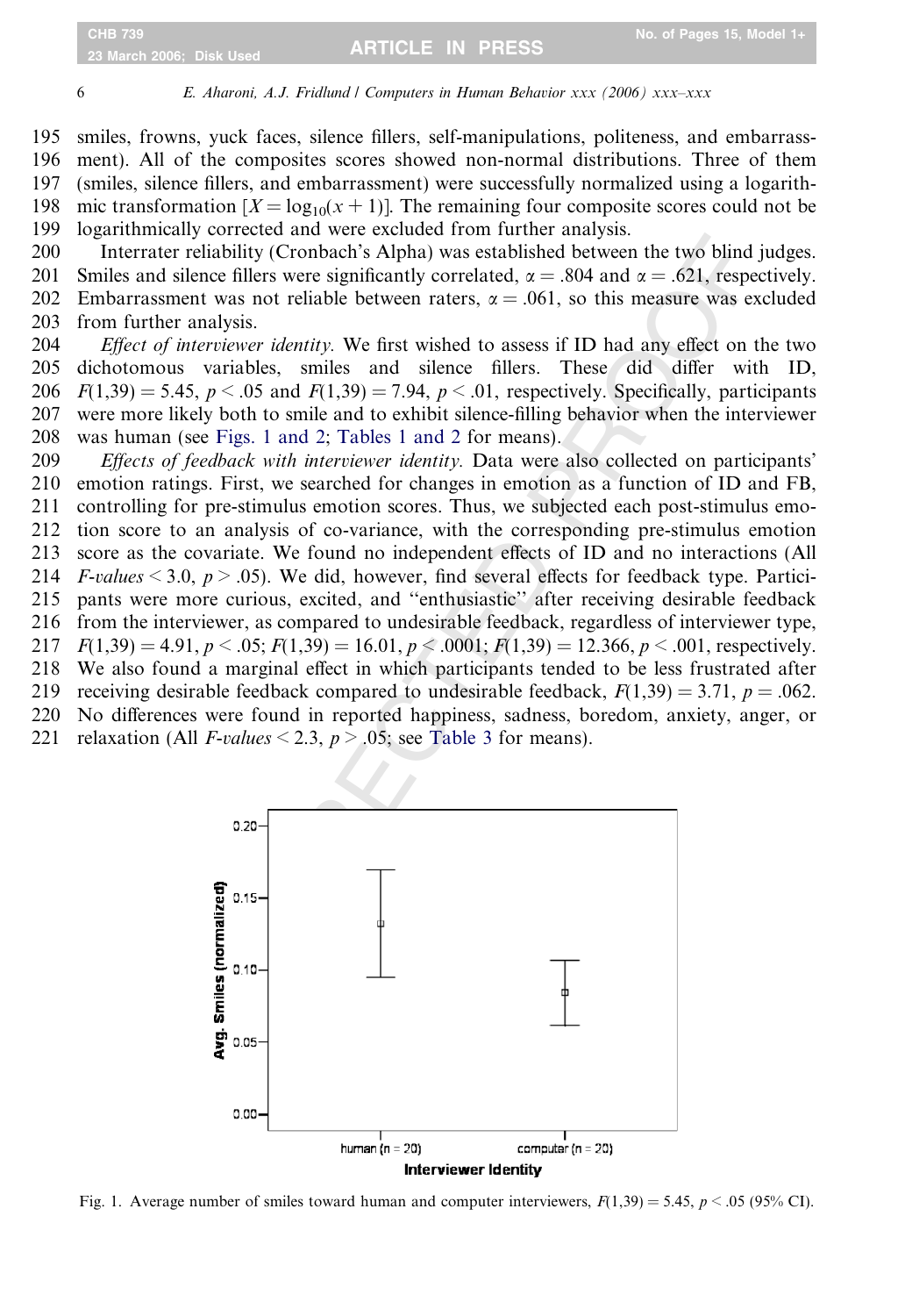195 smiles, frowns, yuck faces, silence fillers, self-manipulations, politeness, and embarrass-196 ment). All of the composites scores showed non-normal distributions. Three of them 197 (smiles, silence fillers, and embarrassment) were successfully normalized using a logarith-198 mic transformation  $[X = \log_{10}(x + 1)]$ . The remaining four composite scores could not be 199 logarithmically corrected and were excluded from further analysis. logarithmically corrected and were excluded from further analysis.

200 Interrater reliability (Cronbach's Alpha) was established between the two blind judges. 201 Smiles and silence fillers were significantly correlated,  $\alpha = .804$  and  $\alpha = .621$ , respectively. 202 Embarrassment was not reliable between raters,  $\alpha = .061$ , so this measure was excluded 203 from further analysis.

204 Effect of interviewer identity. We first wished to assess if ID had any effect on the two 205 dichotomous variables, smiles and silence fillers. These did differ with ID, 206  $F(1,39) = 5.45$ ,  $p < .05$  and  $F(1,39) = 7.94$ ,  $p < .01$ , respectively. Specifically, participants 207 were more likely both to smile and to exhibit silence-filling behavior when the interviewer 208 was human (see Figs. 1 and 2; [Tables 1 and 2](#page-6-0) for means).

meantate relability ([C](#page-7-0)ronbach's Alpha) was established between the two blind<br>netratet relability (Cronbach's Alpha) was established between the two blind<br>lest and silence fillers were significantly correlated,  $\alpha = .804$  a 209 Effects of feedback with interviewer identity. Data were also collected on participants' 210 emotion ratings. First, we searched for changes in emotion as a function of ID and FB, 211 controlling for pre-stimulus emotion scores. Thus, we subjected each post-stimulus emo-212 tion score to an analysis of co-variance, with the corresponding pre-stimulus emotion 213 score as the covariate. We found no independent effects of ID and no interactions (All 214 F-values  $\leq$  3.0, p  $>$  0.05). We did, however, find several effects for feedback type. Partici-215 pants were more curious, excited, and ''enthusiastic'' after receiving desirable feedback 216 from the interviewer, as compared to undesirable feedback, regardless of interviewer type, 217  $F(1,39) = 4.91, p \le 0.05; F(1,39) = 16.01, p \le 0.001; F(1,39) = 12.366, p \le 0.001$ , respectively. 218 We also found a marginal effect in which participants tended to be less frustrated after 219 receiving desirable feedback compared to undesirable feedback,  $F(1,39) = 3.71$ ,  $p = .062$ . 220 No differences were found in reported happiness, sadness, boredom, anxiety, anger, or 221 relaxation (All *F-values*  $\leq$  2.3,  $p$   $>$  .05; see Table 3 for means).



Fig. 1. Average number of smiles toward human and computer interviewers,  $F(1,39) = 5.45$ ,  $p < .05$  (95% CI).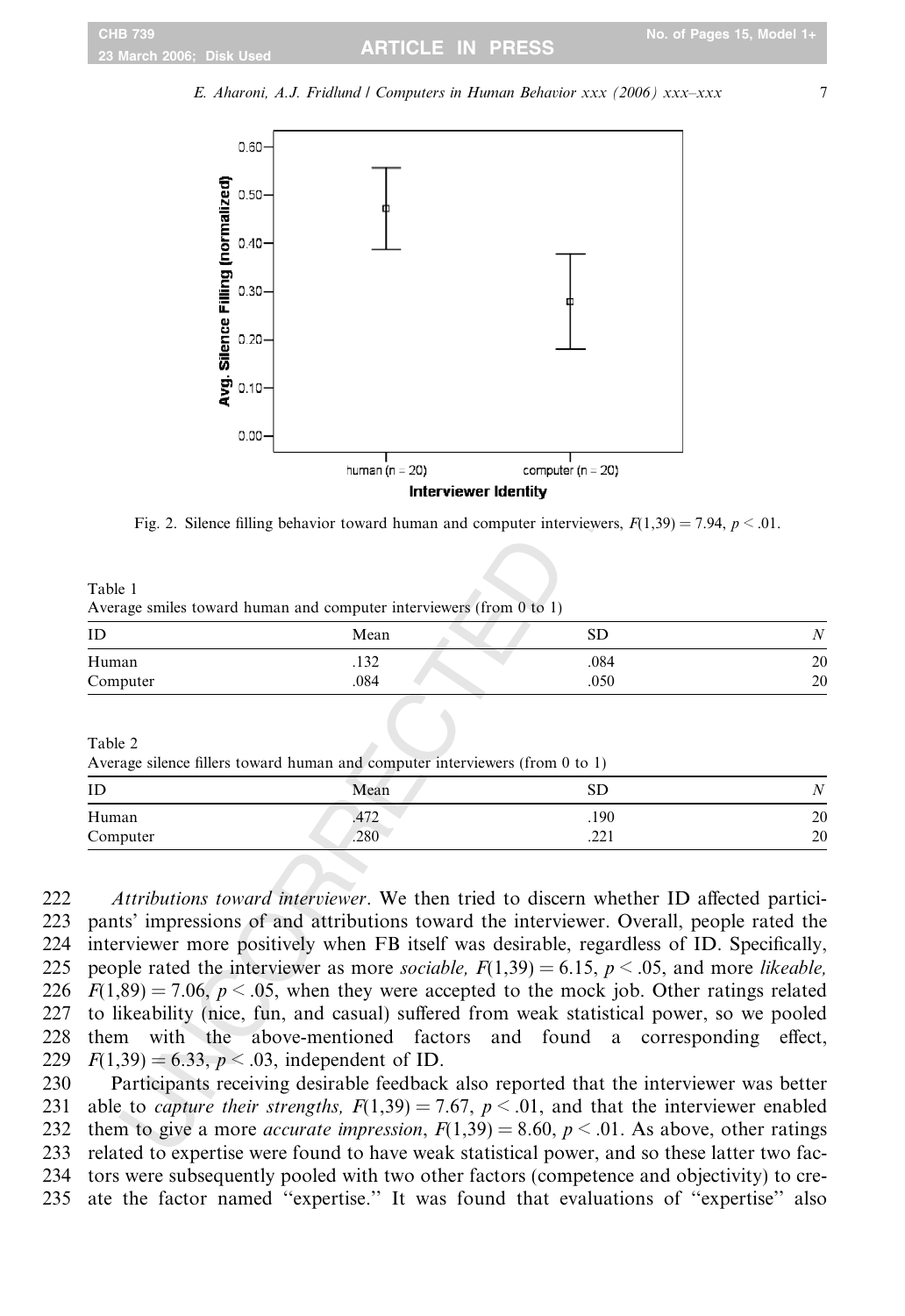<span id="page-6-0"></span>

Fig. 2. Silence filling behavior toward human and computer interviewers,  $F(1,39) = 7.94$ ,  $p < 0.01$ .

| Table 1                                                             |  |  |  |  |
|---------------------------------------------------------------------|--|--|--|--|
| Average smiles toward human and computer interviewers (from 0 to 1) |  |  |  |  |

| ID       | Mean | SD   | N  |
|----------|------|------|----|
| Human    | .132 | .084 | 20 |
| Computer | .084 | .050 | 20 |

#### Table 2

Average silence fillers toward human and computer interviewers (from 0 to 1)

| __<br>ID | Mean | SD            | $\boldsymbol{N}$ |
|----------|------|---------------|------------------|
| Human    | .472 | .190          | 20               |
| Computer | .280 | າາ<br>ہ کیے . | 20               |

222 Attributions toward interviewer. We then tried to discern whether ID affected partici-223 pants' impressions of and attributions toward the interviewer. Overall, people rated the 224 interviewer more positively when FB itself was desirable, regardless of ID. Specifically, 225 people rated the interviewer as more *sociable*,  $F(1,39) = 6.15$ ,  $p < .05$ , and more *likeable*, 226  $F(1,89) = 7.06$ ,  $p < .05$ , when they were accepted to the mock job. Other ratings related 227 to likeability (nice, fun, and casual) suffered from weak statistical power, so we pooled 228 them with the above-mentioned factors and found a corresponding effect, 229  $F(1,39) = 6.33, p < .03$ , independent of ID.

230 Participants receiving desirable feedback also reported that the interviewer was better 231 able to *capture their strengths,*  $F(1,39) = 7.67$ ,  $p < .01$ , and that the interviewer enabled 232 them to give a more *accurate impression*,  $F(1,39) = 8.60, p < .01$ . As above, other ratings 233 related to expertise were found to have weak statistical power, and so these latter two fac-234 tors were subsequently pooled with two other factors (competence and objectivity) to cre-235 ate the factor named ''expertise.'' It was found that evaluations of ''expertise'' also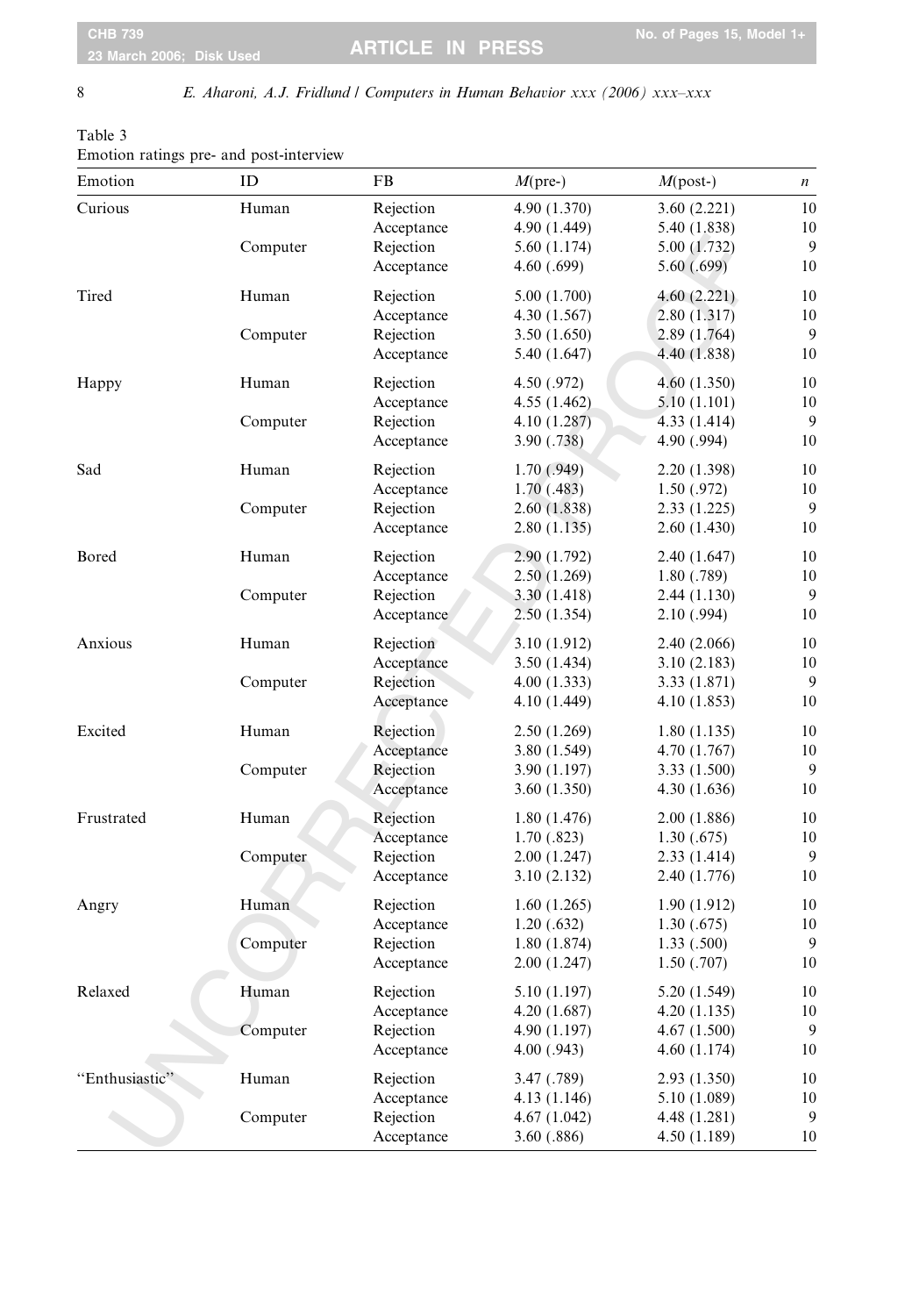<span id="page-7-0"></span>

| Table 3 |  |                                         |
|---------|--|-----------------------------------------|
|         |  | Emotion ratings pre- and post-interview |

| Emotion        | ID       | FB         | $M$ (pre-)   | $M(post-)$   | $\boldsymbol{n}$ |
|----------------|----------|------------|--------------|--------------|------------------|
| Curious        | Human    | Rejection  | 4.90 (1.370) | 3.60(2.221)  | 10               |
|                |          | Acceptance | 4.90 (1.449) | 5.40 (1.838) | 10               |
|                | Computer | Rejection  | 5.60 (1.174) | 5.00 (1.732) | 9                |
|                |          | Acceptance | 4.60(.699)   | 5.60 (.699)  | 10               |
| Tired          | Human    | Rejection  | 5.00 (1.700) | 4.60(2.221)  | 10               |
|                |          | Acceptance | 4.30(1.567)  | 2.80 (1.317) | 10               |
|                | Computer | Rejection  | 3.50(1.650)  | 2.89 (1.764) | 9                |
|                |          | Acceptance | 5.40 (1.647) | 4.40 (1.838) | 10               |
| Happy          | Human    | Rejection  | 4.50 (.972)  | 4.60 (1.350) | 10               |
|                |          | Acceptance | 4.55 (1.462) | 5.10(1.101)  | 10               |
|                | Computer | Rejection  | 4.10 (1.287) | 4.33 (1.414) | 9                |
|                |          | Acceptance | 3.90 (.738)  | 4.90 (.994)  | 10               |
| Sad            | Human    | Rejection  | 1.70(0.949)  | 2.20 (1.398) | 10               |
|                |          | Acceptance | 1.70(0.483)  | 1.50(.972)   | 10               |
|                | Computer | Rejection  | 2.60(1.838)  | 2.33 (1.225) | 9                |
|                |          | Acceptance | 2.80(1.135)  | 2.60 (1.430) | 10               |
| Bored          | Human    | Rejection  | 2.90 (1.792) | 2.40 (1.647) | 10               |
|                |          | Acceptance | 2.50(1.269)  | 1.80(.789)   | 10               |
|                | Computer | Rejection  | 3.30 (1.418) | 2.44 (1.130) | 9                |
|                |          | Acceptance | 2.50(1.354)  | 2.10 (.994)  | 10               |
| Anxious        | Human    | Rejection  | 3.10(1.912)  | 2.40 (2.066) | 10               |
|                |          | Acceptance | 3.50 (1.434) | 3.10(2.183)  | 10               |
|                | Computer | Rejection  | 4.00(1.333)  | 3.33 (1.871) | 9                |
|                |          | Acceptance | 4.10 (1.449) | 4.10 (1.853) | 10               |
| Excited        | Human    | Rejection  | 2.50(1.269)  | 1.80(1.135)  | 10               |
|                |          | Acceptance | 3.80 (1.549) | 4.70 (1.767) | 10               |
|                | Computer | Rejection  | 3.90 (1.197) | 3.33(1.500)  | 9                |
|                |          | Acceptance | 3.60(1.350)  | 4.30 (1.636) | 10               |
| Frustrated     | Human    | Rejection  | 1.80(1.476)  | 2.00 (1.886) | 10               |
|                |          | Acceptance | 1.70(.823)   | 1.30(.675)   | 10               |
|                | Computer | Rejection  | 2.00(1.247)  | 2.33 (1.414) | 9                |
|                |          | Acceptance | 3.10(2.132)  | 2.40 (1.776) | 10               |
| Angry          | Human    | Rejection  | 1.60(1.265)  | 1.90(1.912)  | 10               |
|                |          | Acceptance | 1.20(0.632)  | 1.30(.675)   | 10               |
|                | Computer | Rejection  | 1.80(1.874)  | 1.33(0.500)  | 9                |
|                |          | Acceptance | 2.00(1.247)  | 1.50(.707)   | 10               |
| Relaxed        | Human    | Rejection  | 5.10 (1.197) | 5.20 (1.549) | 10               |
|                |          | Acceptance | 4.20 (1.687) | 4.20 (1.135) | 10               |
|                | Computer | Rejection  | 4.90 (1.197) | 4.67 (1.500) | 9                |
|                |          | Acceptance | 4.00(.943)   | 4.60 (1.174) | 10               |
| "Enthusiastic" | Human    | Rejection  | 3.47 (.789)  | 2.93 (1.350) | 10               |
|                |          | Acceptance | 4.13 (1.146) | 5.10 (1.089) | 10               |
|                | Computer | Rejection  | 4.67(1.042)  | 4.48 (1.281) | 9                |
|                |          | Acceptance | 3.60 (.886)  | 4.50 (1.189) | 10               |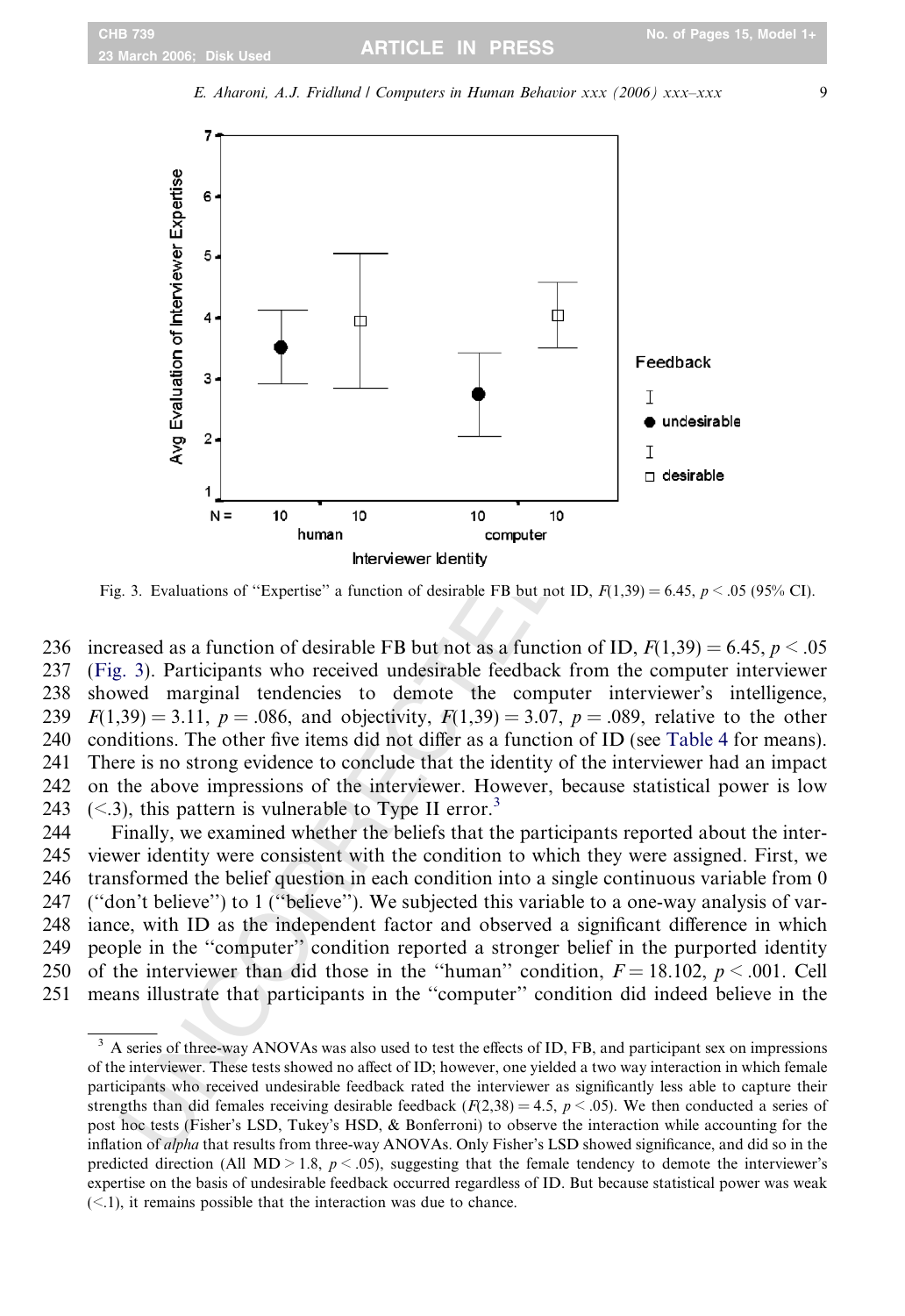



Fig. 3. Evaluations of "Expertise" a function of desirable FB but not ID,  $F(1,39) = 6.45$ ,  $p < .05$  (95% CI).

236 increased as a function of desirable FB but not as a function of ID,  $F(1,39) = 6.45, p < .05$ 237 (Fig. 3). Participants who received undesirable feedback from the computer interviewer 238 showed marginal tendencies to demote the computer interviewer's intelligence, 239  $F(1,39) = 3.11$ ,  $p = .086$ , and objectivity,  $F(1,39) = 3.07$ ,  $p = .089$ , relative to the other 240 conditions. The other five items did not differ as a function of ID (see [Table 4](#page-9-0) for means). 241 There is no strong evidence to conclude that the identity of the interviewer had an impact 242 on the above impressions of the interviewer. However, because statistical power is low 243  $\left(\leq 3\right)$ , this pattern is vulnerable to Type II error.<sup>3</sup>

244 Finally, we examined whether the beliefs that the participants reported about the inter-245 viewer identity were consistent with the condition to which they were assigned. First, we 246 transformed the belief question in each condition into a single continuous variable from 0 247 (''don't believe'') to 1 (''believe''). We subjected this variable to a one-way analysis of var-248 iance, with ID as the independent factor and observed a significant difference in which 249 people in the ''computer'' condition reported a stronger belief in the purported identity 250 of the interviewer than did those in the "human" condition,  $F = 18.102$ ,  $p < .001$ . Cell 251 means illustrate that participants in the ''computer'' condition did indeed believe in the

<sup>3</sup> A series of three-way ANOVAs was also used to test the effects of ID, FB, and participant sex on impressions of the interviewer. These tests showed no affect of ID; however, one yielded a two way interaction in which female participants who received undesirable feedback rated the interviewer as significantly less able to capture their strengths than did females receiving desirable feedback ( $F(2,38) = 4.5$ ,  $p < .05$ ). We then conducted a series of post hoc tests (Fisher's LSD, Tukey's HSD, & Bonferroni) to observe the interaction while accounting for the inflation of *alpha* that results from three-way ANOVAs. Only Fisher's LSD showed significance, and did so in the predicted direction (All MD > 1.8,  $p < .05$ ), suggesting that the female tendency to demote the interviewer's expertise on the basis of undesirable feedback occurred regardless of ID. But because statistical power was weak  $(<1)$ , it remains possible that the interaction was due to chance.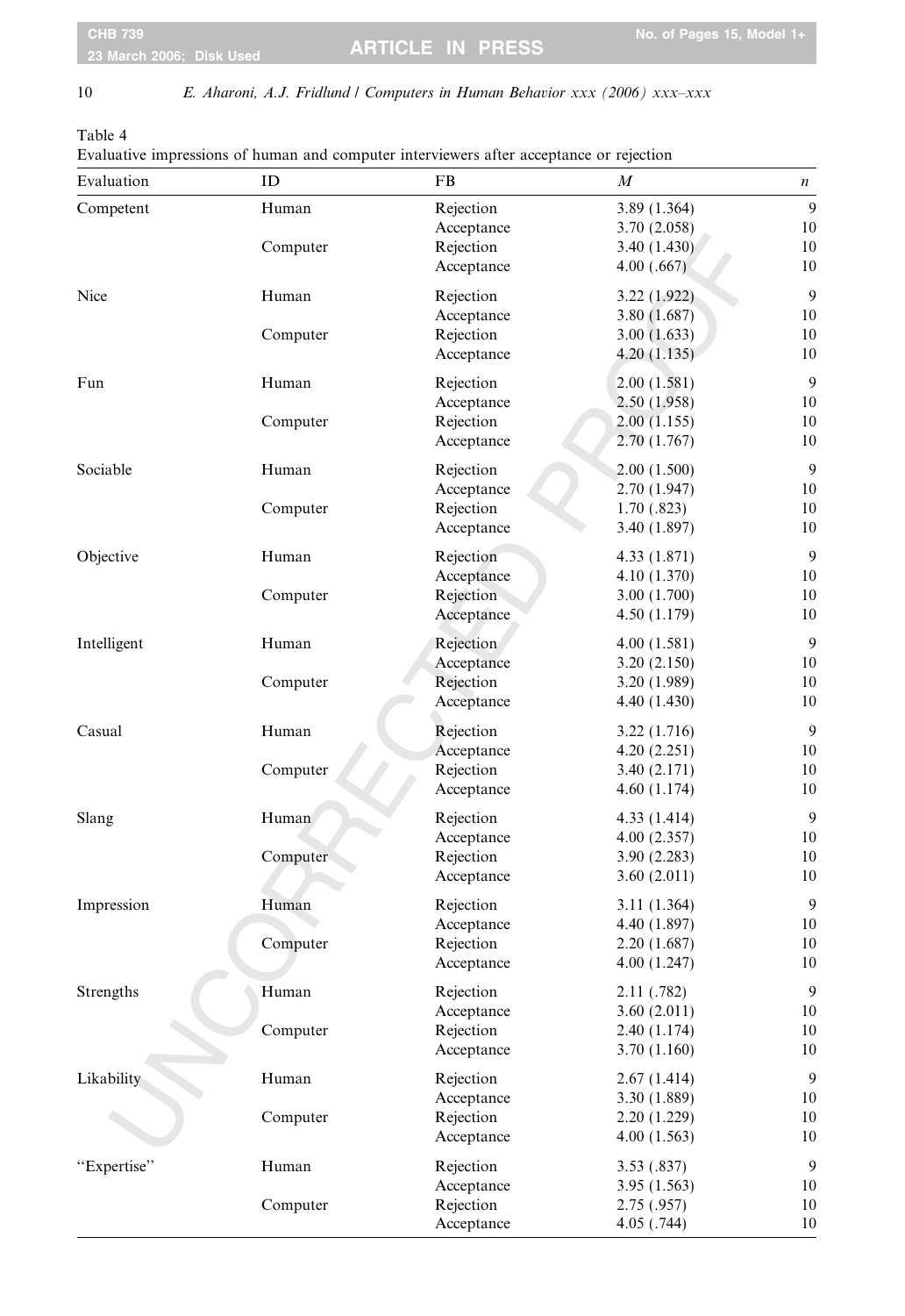### <span id="page-9-0"></span>Table 4

Evaluative impressions of human and computer interviewers after acceptance or rejection

| Evaluation  | ID       | FB         | M            | n                |
|-------------|----------|------------|--------------|------------------|
| Competent   | Human    | Rejection  | 3.89(1.364)  | 9                |
|             |          | Acceptance | 3.70(2.058)  | 10               |
|             | Computer | Rejection  | 3.40 (1.430) | 10               |
|             |          | Acceptance | 4.00(.667)   | 10               |
| Nice        | Human    | Rejection  | 3.22(1.922)  | $\mathbf{9}$     |
|             |          | Acceptance | 3.80(1.687)  | 10               |
|             | Computer | Rejection  | 3.00(1.633)  | 10               |
|             |          | Acceptance | 4.20(1.135)  | 10               |
| Fun         | Human    | Rejection  | 2.00(1.581)  | 9                |
|             |          | Acceptance | 2.50(1.958)  | 10               |
|             | Computer | Rejection  | 2.00 (1.155) | 10               |
|             |          | Acceptance | 2.70(1.767)  | 10               |
| Sociable    | Human    | Rejection  | 2.00(1.500)  | 9                |
|             |          | Acceptance | 2.70 (1.947) | 10               |
|             | Computer | Rejection  | 1.70(0.823)  | 10               |
|             |          | Acceptance | 3.40 (1.897) | 10               |
| Objective   | Human    | Rejection  | 4.33(1.871)  | 9                |
|             |          | Acceptance | 4.10 (1.370) | 10               |
|             | Computer | Rejection  | 3.00 (1.700) | 10               |
|             |          | Acceptance | 4.50 (1.179) | 10               |
| Intelligent | Human    | Rejection  | 4.00(1.581)  | 9                |
|             |          | Acceptance | 3.20(2.150)  | 10               |
|             | Computer | Rejection  | 3.20 (1.989) | 10               |
|             |          | Acceptance | 4.40 (1.430) | 10               |
| Casual      | Human    | Rejection  | 3.22 (1.716) | 9                |
|             |          | Acceptance | 4.20(2.251)  | 10               |
|             | Computer | Rejection  | 3.40 (2.171) | 10               |
|             |          | Acceptance | 4.60(1.174)  | 10               |
| Slang       | Human    | Rejection  | 4.33 (1.414) | 9                |
|             |          | Acceptance | 4.00(2.357)  | 10               |
|             | Computer | Rejection  | 3.90(2.283)  | 10               |
|             |          | Acceptance | 3.60(2.011)  | 10               |
| Impression  | Human    | Rejection  | 3.11 (1.364) | 9                |
|             |          | Acceptance | 4.40 (1.897) | 10               |
|             | Computer | Rejection  | 2.20(1.687)  | 10               |
|             |          | Acceptance | 4.00 (1.247) | 10               |
| Strengths   | Human    | Rejection  | 2.11 (.782)  | 9                |
|             |          | Acceptance | 3.60 (2.011) | 10               |
|             | Computer | Rejection  | 2.40 (1.174) | $10\,$           |
|             |          | Acceptance | 3.70(1.160)  | 10               |
| Likability  | Human    | Rejection  | 2.67(1.414)  | $\boldsymbol{9}$ |
|             |          | Acceptance | 3.30 (1.889) | 10               |
|             | Computer | Rejection  | 2.20(1.229)  | 10               |
|             |          | Acceptance | 4.00(1.563)  | 10               |
| "Expertise" | Human    | Rejection  | 3.53(0.837)  | 9                |
|             |          | Acceptance | 3.95(1.563)  | 10               |
|             | Computer | Rejection  | 2.75(.957)   | 10               |
|             |          | Acceptance | 4.05 (.744)  | 10               |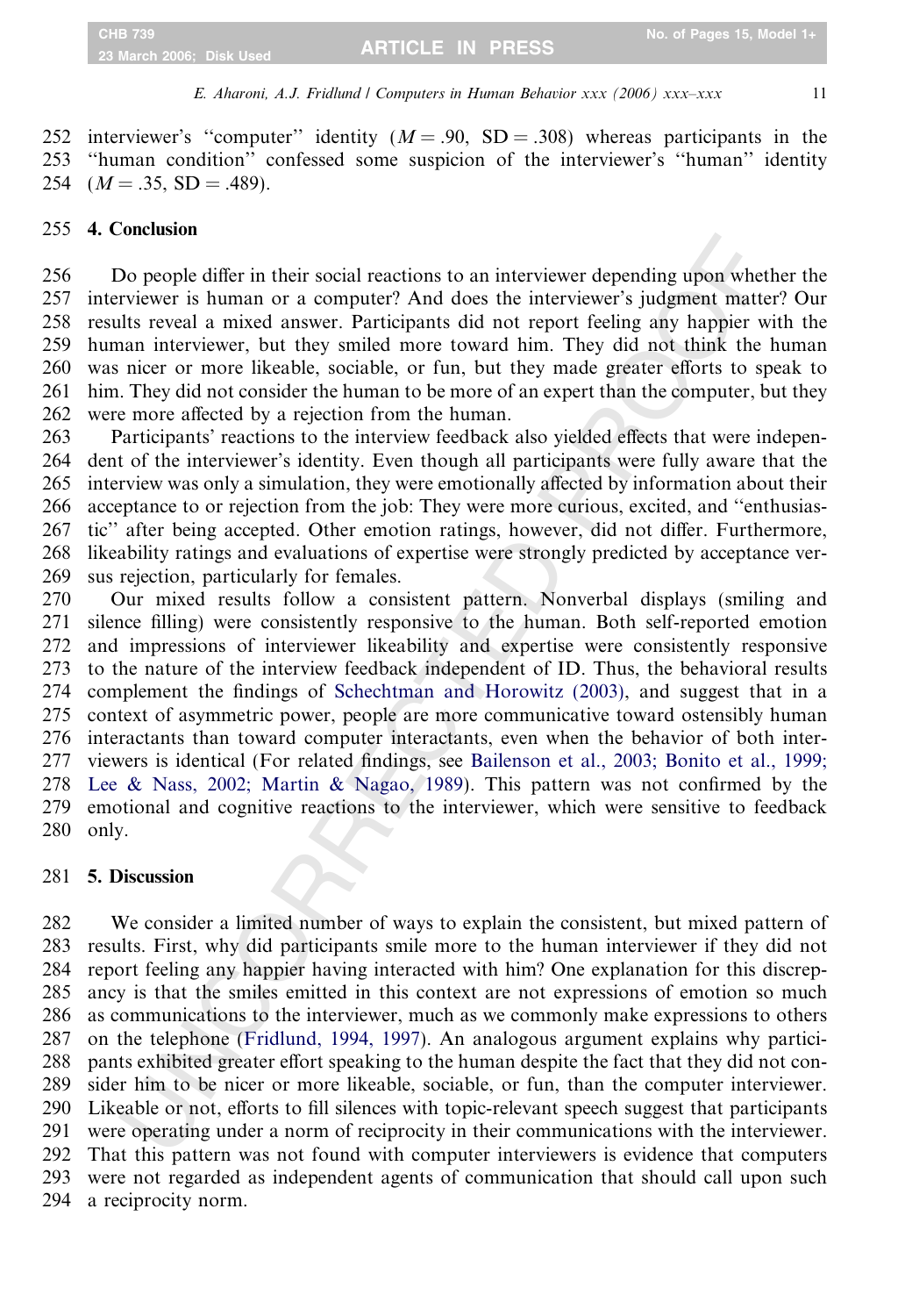252 interviewer's "computer" identity  $(M = .90, SD = .308)$  whereas participants in the 253 ''human condition'' confessed some suspicion of the interviewer's ''human'' identity 254  $(M = .35, SD = .489)$ .

# 255 4. Conclusion

256 Do people differ in their social reactions to an interviewer depending upon whether the 257 interviewer is human or a computer? And does the interviewer's judgment matter? Our 258 results reveal a mixed answer. Participants did not report feeling any happier with the 259 human interviewer, but they smiled more toward him. They did not think the human 260 was nicer or more likeable, sociable, or fun, but they made greater efforts to speak to 261 him. They did not consider the human to be more of an expert than the computer, but they 262 were more affected by a rejection from the human.

263 Participants' reactions to the interview feedback also yielded effects that were indepen-264 dent of the interviewer's identity. Even though all participants were fully aware that the 265 interview was only a simulation, they were emotionally affected by information about their 266 acceptance to or rejection from the job: They were more curious, excited, and ''enthusias-267 tic'' after being accepted. Other emotion ratings, however, did not differ. Furthermore, 268 likeability ratings and evaluations of expertise were strongly predicted by acceptance ver-269 sus rejection, particularly for females.

**2000** comple differ in their social reactions to an interviewer depending upon whet<br>viewer is human or a computer? And does the interviewer's judgment matter<br>its at reveal a mixed answer. Participants did not report feel 270 Our mixed results follow a consistent pattern. Nonverbal displays (smiling and 271 silence filling) were consistently responsive to the human. Both self-reported emotion 272 and impressions of interviewer likeability and expertise were consistently responsive 273 to the nature of the interview feedback independent of ID. Thus, the behavioral results 274 complement the findings of [Schechtman and Horowitz \(2003\),](#page-14-0) and suggest that in a 275 context of asymmetric power, people are more communicative toward ostensibly human 276 interactants than toward computer interactants, even when the behavior of both inter-277 viewers is identical (For related findings, see [Bailenson et al., 2003; Bonito et al., 1999;](#page-13-0) 278 [Lee & Nass, 2002; Martin & Nagao, 1989\)](#page-13-0). This pattern was not confirmed by the 279 emotional and cognitive reactions to the interviewer, which were sensitive to feedback 280 only.

### 281 5. Discussion

282 We consider a limited number of ways to explain the consistent, but mixed pattern of 283 results. First, why did participants smile more to the human interviewer if they did not 284 report feeling any happier having interacted with him? One explanation for this discrep-285 ancy is that the smiles emitted in this context are not expressions of emotion so much 286 as communications to the interviewer, much as we commonly make expressions to others 287 on the telephone (Fridlund, 1994, 1997). An analogous argument explains why partici-288 pants exhibited greater effort speaking to the human despite the fact that they did not con-289 sider him to be nicer or more likeable, sociable, or fun, than the computer interviewer. 290 Likeable or not, efforts to fill silences with topic-relevant speech suggest that participants 291 were operating under a norm of reciprocity in their communications with the interviewer. 292 That this pattern was not found with computer interviewers is evidence that computers 293 were not regarded as independent agents of communication that should call upon such 294 a reciprocity norm.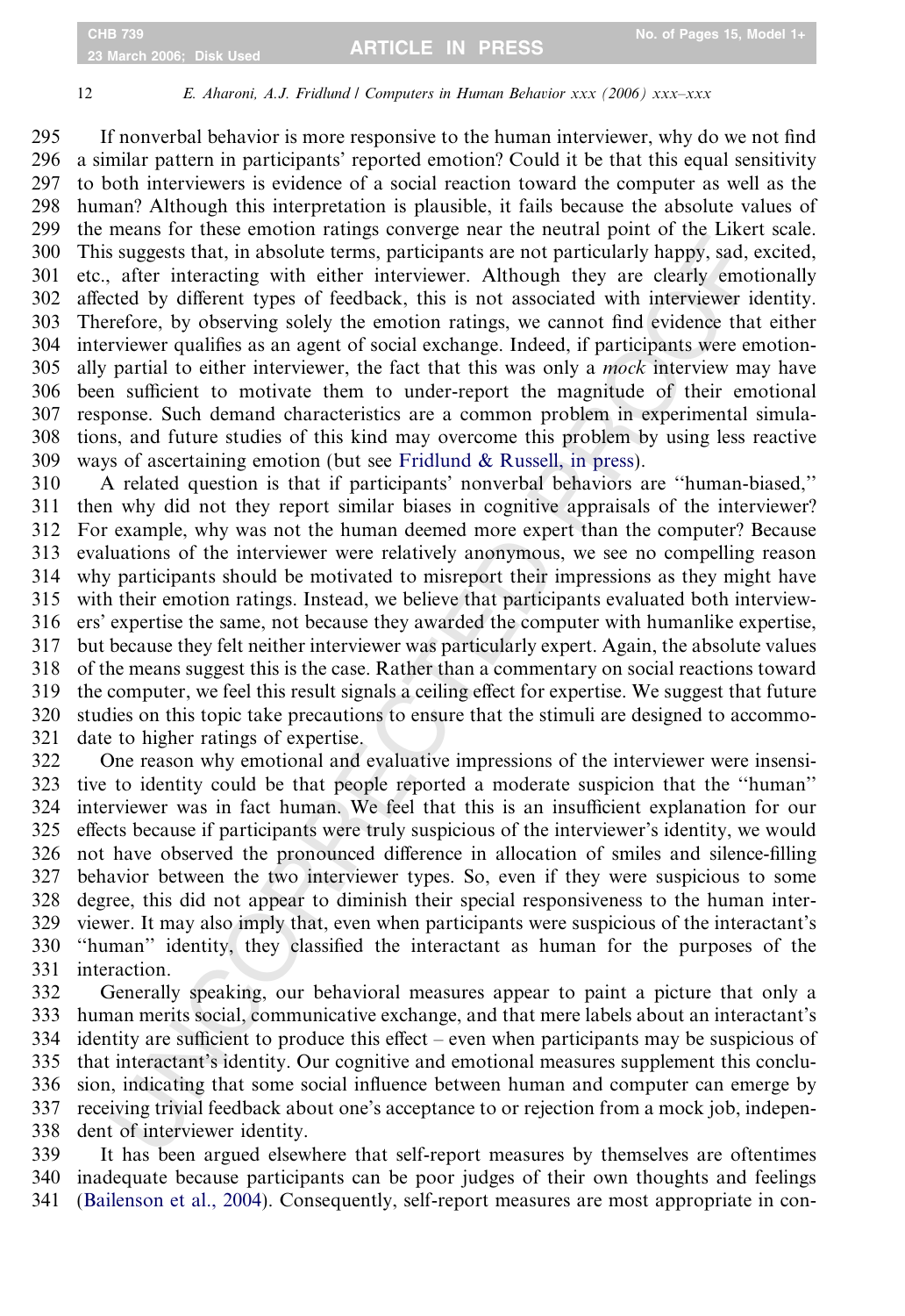295 If nonverbal behavior is more responsive to the human interviewer, why do we not find 296 a similar pattern in participants' reported emotion? Could it be that this equal sensitivity 297 to both interviewers is evidence of a social reaction toward the computer as well as the 298 human? Although this interpretation is plausible, it fails because the absolute values of 299 the means for these emotion ratings converge near the neutral point of the Likert scale. 300 This suggests that, in absolute terms, participants are not particularly happy, sad, excited, 301 etc., after interacting with either interviewer. Although they are clearly emotionally 302 affected by different types of feedback, this is not associated with interviewer identity.<br>303 Therefore, by observing solely the emotion ratings, we cannot find evidence that either Therefore, by observing solely the emotion ratings, we cannot find evidence that either 304 interviewer qualifies as an agent of social exchange. Indeed, if participants were emotion-305 ally partial to either interviewer, the fact that this was only a *mock* interview may have 306 been sufficient to motivate them to under-report the magnitude of their emotional 307 response. Such demand characteristics are a common problem in experimental simula-308 tions, and future studies of this kind may overcome this problem by using less reactive 309 ways of ascertaining emotion (but see [Fridlund & Russell, in press](#page-14-0)).

assuggests that, in absolute terms, participants are not particularly happy, sad, compares suggests that, in absolute terms, participants are not particularly happy, sad, correlated by different types of feedback, this is 310 A related question is that if participants' nonverbal behaviors are ''human-biased,'' 311 then why did not they report similar biases in cognitive appraisals of the interviewer? 312 For example, why was not the human deemed more expert than the computer? Because 313 evaluations of the interviewer were relatively anonymous, we see no compelling reason 314 why participants should be motivated to misreport their impressions as they might have 315 with their emotion ratings. Instead, we believe that participants evaluated both interview-316 ers' expertise the same, not because they awarded the computer with humanlike expertise, 317 but because they felt neither interviewer was particularly expert. Again, the absolute values 318 of the means suggest this is the case. Rather than a commentary on social reactions toward 319 the computer, we feel this result signals a ceiling effect for expertise. We suggest that future 320 studies on this topic take precautions to ensure that the stimuli are designed to accommo-321 date to higher ratings of expertise.

322 One reason why emotional and evaluative impressions of the interviewer were insensi-323 tive to identity could be that people reported a moderate suspicion that the ''human'' 324 interviewer was in fact human. We feel that this is an insufficient explanation for our 325 effects because if participants were truly suspicious of the interviewer's identity, we would 326 not have observed the pronounced difference in allocation of smiles and silence-filling 327 behavior between the two interviewer types. So, even if they were suspicious to some 328 degree, this did not appear to diminish their special responsiveness to the human inter-329 viewer. It may also imply that, even when participants were suspicious of the interactant's 330 ''human'' identity, they classified the interactant as human for the purposes of the 331 interaction.

332 Generally speaking, our behavioral measures appear to paint a picture that only a 333 human merits social, communicative exchange, and that mere labels about an interactant's 334 identity are sufficient to produce this effect – even when participants may be suspicious of 335 that interactant's identity. Our cognitive and emotional measures supplement this conclu-336 sion, indicating that some social influence between human and computer can emerge by 337 receiving trivial feedback about one's acceptance to or rejection from a mock job, indepen-338 dent of interviewer identity.

339 It has been argued elsewhere that self-report measures by themselves are oftentimes 340 inadequate because participants can be poor judges of their own thoughts and feelings 341 [\(Bailenson et al., 2004](#page-13-0)). Consequently, self-report measures are most appropriate in con-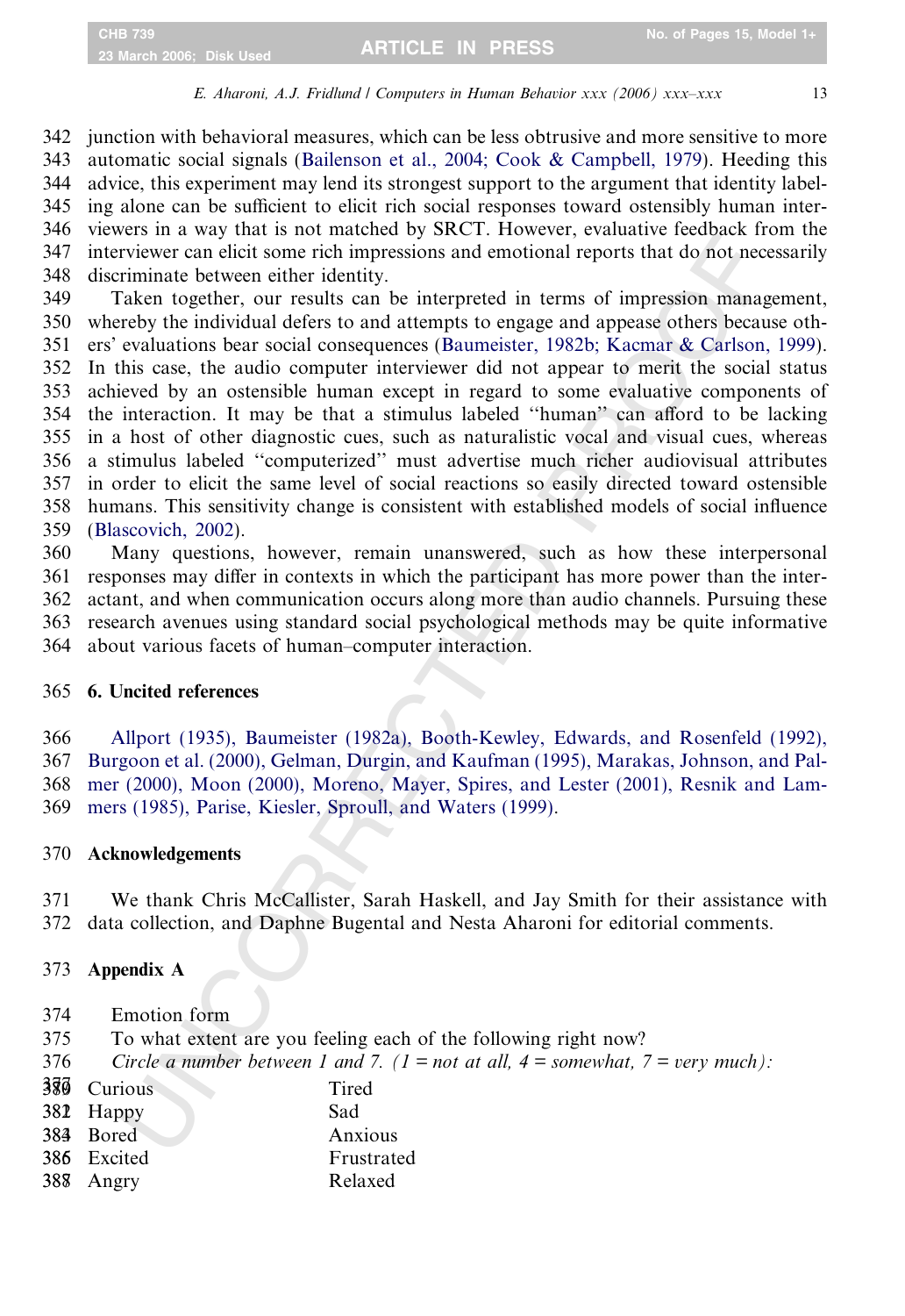<span id="page-12-0"></span>342 junction with behavioral measures, which can be less obtrusive and more sensitive to more 343 automatic social signals ([Bailenson et al., 2004; Cook & Campbell, 1979](#page-13-0)). Heeding this 344 advice, this experiment may lend its strongest support to the argument that identity label-345 ing alone can be sufficient to elicit rich social responses toward ostensibly human inter-346 viewers in a way that is not matched by SRCT. However, evaluative feedback from the 347 interviewer can elicit some rich impressions and emotional reports that do not necessarily 348 discriminate between either identity.

rive en en maintar between either dentricties<br>rive en en en dieti some rich impressions and emotional reports that do not necessaries<br>riminate between either identity.<br>The individual deficit some rich impressions and emot 349 Taken together, our results can be interpreted in terms of impression management, 350 whereby the individual defers to and attempts to engage and appease others because oth-351 ers' evaluations bear social consequences [\(Baumeister, 1982b; Kacmar & Carlson, 1999\)](#page-13-0). 352 In this case, the audio computer interviewer did not appear to merit the social status 353 achieved by an ostensible human except in regard to some evaluative components of 354 the interaction. It may be that a stimulus labeled ''human'' can afford to be lacking 355 in a host of other diagnostic cues, such as naturalistic vocal and visual cues, whereas 356 a stimulus labeled ''computerized'' must advertise much richer audiovisual attributes 357 in order to elicit the same level of social reactions so easily directed toward ostensible 358 humans. This sensitivity change is consistent with established models of social influence 359 ([Blascovich, 2002\)](#page-13-0).

360 Many questions, however, remain unanswered, such as how these interpersonal 361 responses may differ in contexts in which the participant has more power than the inter-362 actant, and when communication occurs along more than audio channels. Pursuing these 363 research avenues using standard social psychological methods may be quite informative 364 about various facets of human–computer interaction.

# 365 6. Uncited references

 [Allport \(1935\), Baumeister \(1982a\), Booth-Kewley, Edwards, and Rosenfeld \(1992\),](#page-13-0) [Burgoon et al. \(2000\), Gelman, Durgin, and Kaufman \(1995\), Marakas, Johnson, and Pal-](#page-13-0) [mer \(2000\), Moon \(2000\), Moreno, Mayer, Spires, and Lester \(2001\), Resnik and Lam-](#page-13-0)[mers \(1985\), Parise, Kiesler, Sproull, and Waters \(1999\)](#page-13-0).

# 370 Acknowledgements

371 We thank Chris McCallister, Sarah Haskell, and Jay Smith for their assistance with 372 data collection, and Daphne Bugental and Nesta Aharoni for editorial comments.

- 373 Appendix A
- 374 Emotion form
- 375 To what extent are you feeling each of the following right now?
- 376 Circle a number between 1 and 7.  $(1 = not at all, 4 = somewhat, 7 = very much):$
- 379 Curious Tired
- 382 Happy Sad
- 383 Bored 384 Anxious
- 385 Excited 386 Frustrated
- 387 Angry 388 Relaxed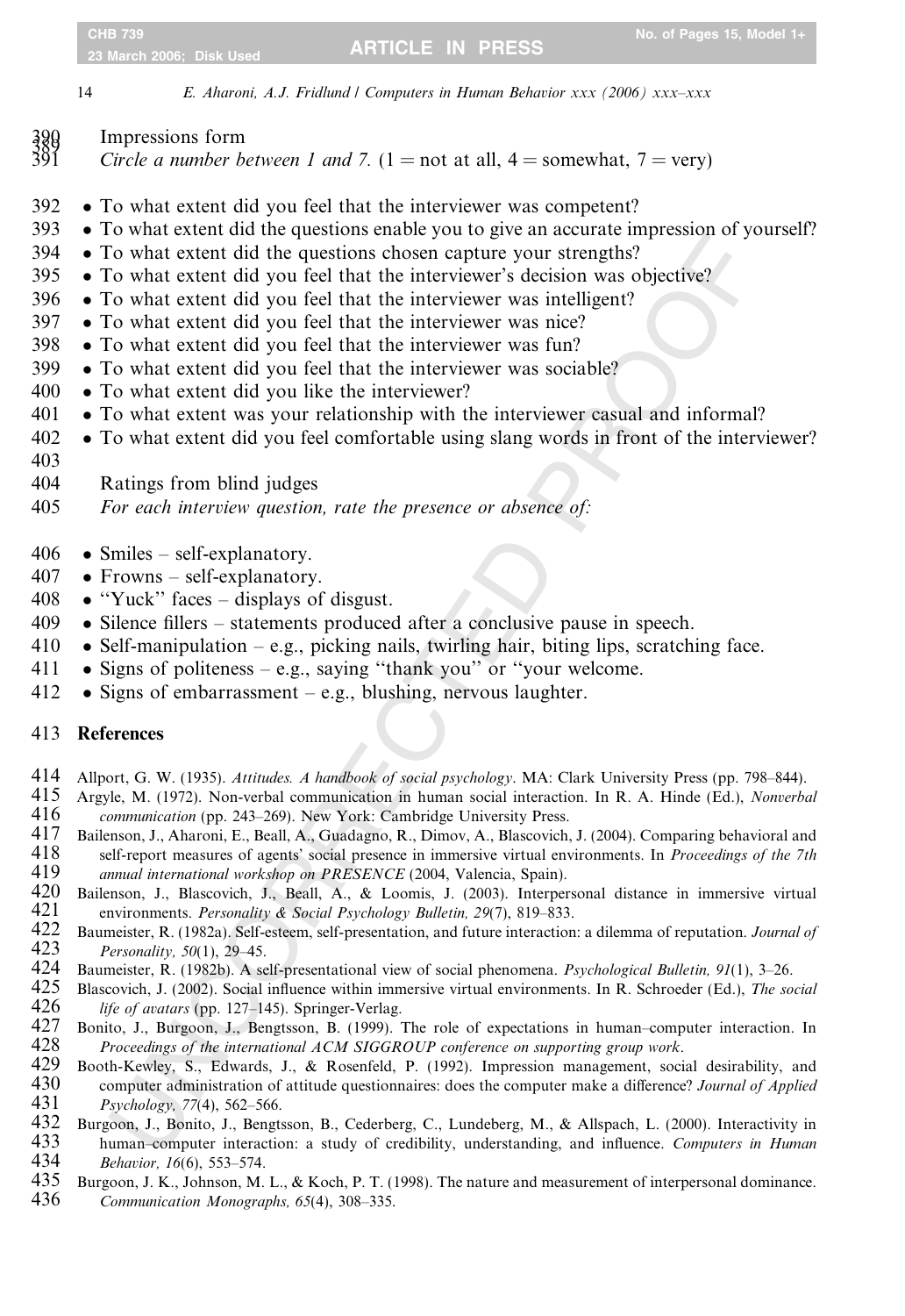<span id="page-13-0"></span>

- 398 Impressions form<br>391 *Circle a number be*
- Circle a number between 1 and 7. (1 = not at all, 4 = somewhat, 7 = very)
- 392 To what extent did you feel that the interviewer was competent?
- 393 -To what extent did the questions enable you to give an accurate impression of yourself?
- 394 To what extent did the questions chosen capture your strengths?
- 395 -• To what extent did you feel that the interviewer's decision was objective?
- 396 -To what extent did you feel that the interviewer was intelligent?
- 397 -To what extent did you feel that the interviewer was nice?
- 398 To what extent did you feel that the interviewer was fun?
- 399 To what extent did you feel that the interviewer was sociable?
- 400 -To what extent did you like the interviewer?
- 401 -To what extent was your relationship with the interviewer casual and informal?
- 402 To what extent did you feel comfortable using slang words in front of the interviewer?
- 403
- 404 Ratings from blind judges
- 405 For each interview question, rate the presence or absence of:
- 406  $\bullet$  Smiles – self-explanatory.
- 407 • Frowns – self-explanatory.
- 408  $\bullet$  "Yuck" faces – displays of disgust.
- 409 • Silence fillers – statements produced after a conclusive pause in speech.
- 410 - $\bullet$  Self-manipulation – e.g., picking nails, twirling hair, biting lips, scratching face.
- 411 - $\bullet$  Signs of politeness – e.g., saying "thank you" or "your welcome.
- 412  $\bullet$  Signs of embarrassment – e.g., blushing, nervous laughter.

# 413 References

- 414 Allport, G. W. (1935). Attitudes. A handbook of social psychology. MA: Clark University Press (pp. 798–844). 415 Argyle, M. (1972). Non-verbal communication in human social interaction. In R. A. Hinde (Ed.), Nonverbal
- 415 Argyle, M. (1972). Non-verbal communication in human social interaction. In R. A. Hinde (Ed.), Nonverbal 416 communication (pp. 243–269). New York: Cambridge University Press 416 *communication* (pp. 243–269). New York: Cambridge University Press.<br>417 Bailenson, J., Aharoni, E., Beall, A., Guadagno, R., Dimov, A., Blascovich.
- To make net at the there is the divergence of the particular state of oweled that the material distribution of the material of owel at the material of the material did you feel that the interviewer was intelligent?<br>
O wha 417 Bailenson, J., Aharoni, E., Beall, A., Guadagno, R., Dimov, A., Blascovich, J. (2004). Comparing behavioral and self-report measures of agents' social presence in immersive virtual environments. In *Proceedings of the* 418 self-report measures of agents' social presence in immersive virtual environments. In *Proceedings of the 7th*<br>419 annual international workshop on *PRESENCE* (2004 Valencia Spain) 419 *annual international workshop on PRESENCE* (2004, Valencia, Spain).<br>420 Bailenson, J., Blascovich, J., Beall, A., & Loomis, J. (2003). Interper
- 420 Bailenson, J., Blascovich, J., Beall, A., & Loomis, J. (2003). Interpersonal distance in immersive virtual environments. *Personality & Social Psychology Bulletin.* 29(7), 819–833. 421 environments. *Personality & Social Psychology Bulletin, 29(7), 819–833.*<br>422 Baumeister, R. (1982a), Self-esteem, self-presentation, and future interaction.
- 422 Baumeister, R. (1982a). Self-esteem, self-presentation, and future interaction: a dilemma of reputation. Journal of 423 Personality. 50(1). 29–45. 423 *Personality, 50*(1), 29–45.<br>424 Baumeister, R. (1982b). A se
- 424 Baumeister, R. (1982b). A self-presentational view of social phenomena. *Psychological Bulletin, 91*(1), 3–26.<br>425 Blascovich, J. (2002). Social influence within immersive virtual environments. In R. Schroeder (Ed.),
- 425 Blascovich, J. (2002). Social influence within immersive virtual environments. In R. Schroeder (Ed.), The social 426 life of avatars (pp. 127–145). Springer-Verlag. 426 life of avatars (pp. 127–145). Springer-Verlag. 427 Bonito. J., Burgoon, J., Bengtsson, B. (1999).
- 427 Bonito, J., Burgoon, J., Bengtsson, B. (1999). The role of expectations in human–computer interaction. In 428 Proceedings of the international ACM SIGGROUP conference on supporting group work. 428 Proceedings of the international ACM SIGGROUP conference on supporting group work.<br>429 Booth-Kewley, S., Edwards, J., & Rosenfeld, P. (1992). Impression management, social
- 429 Booth-Kewley, S., Edwards, J., & Rosenfeld, P. (1992). Impression management, social desirability, and computer administration of attitude questionnaires: does the computer make a difference? *Journal of Applied* 430 computer administration of attitude questionnaires: does the computer make a difference? Journal of Applied Psychology, 77(4), 562–566. 431 *Psychology, 77(4), 562–566.*<br>432 Burgoon, J., Bonito, J., Bengts
- 432 Burgoon, J., Bonito, J., Bengtsson, B., Cederberg, C., Lundeberg, M., & Allspach, L. (2000). Interactivity in 433 human-computer interaction: a study of credibility, understanding, and influence. Computers in Human 433 human–computer interaction: a study of credibility, understanding, and influence. Computers in Human 434 Behavior 16(6) 553–574 434 Behavior, 16(6), 553–574.<br>435 Burgoon, J. K., Johnson, M.
- 435 Burgoon, J. K., Johnson, M. L., & Koch, P. T. (1998). The nature and measurement of interpersonal dominance.<br>436 Communication Monographs, 65(4), 308–335. Communication Monographs, 65(4), 308-335.